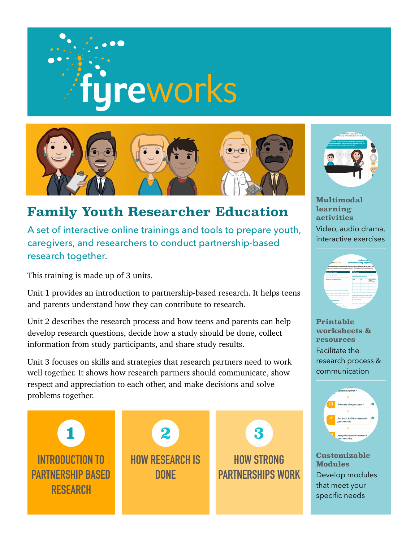



## **Family Youth Researcher Education**

A set of interactive online trainings and tools to prepare youth, caregivers, and researchers to conduct partnership-based research together.

This training is made up of 3 units.

Unit 1 provides an introduction to partnership-based research. It helps teens and parents understand how they can contribute to research.

Unit 2 describes the research process and how teens and parents can help develop research questions, decide how a study should be done, collect information from study participants, and share study results.

Unit 3 focuses on skills and strategies that research partners need to work well together. It shows how research partners should communicate, show respect and appreciation to each other, and make decisions and solve problems together.





**Multimodal learning activities**  Video, audio drama, interactive exercises

| <b>Understan</b><br>. eworks<br>communicating expect.<br>a jing expectations is a usuful exercise. Here are some key questions you can pose at the i.<br>ing research project to make sare gou understand what's expected of research partners |                |                                                                                                                                                                                                                                  |
|------------------------------------------------------------------------------------------------------------------------------------------------------------------------------------------------------------------------------------------------|----------------|----------------------------------------------------------------------------------------------------------------------------------------------------------------------------------------------------------------------------------|
|                                                                                                                                                                                                                                                |                |                                                                                                                                                                                                                                  |
|                                                                                                                                                                                                                                                |                |                                                                                                                                                                                                                                  |
| <b>Service</b>                                                                                                                                                                                                                                 | <b>Pain</b>    | <b>Louis Concerns</b><br><b>Personals</b><br><b>CONTRACTOR</b>                                                                                                                                                                   |
|                                                                                                                                                                                                                                                |                |                                                                                                                                                                                                                                  |
|                                                                                                                                                                                                                                                |                |                                                                                                                                                                                                                                  |
|                                                                                                                                                                                                                                                |                |                                                                                                                                                                                                                                  |
|                                                                                                                                                                                                                                                |                |                                                                                                                                                                                                                                  |
|                                                                                                                                                                                                                                                |                |                                                                                                                                                                                                                                  |
|                                                                                                                                                                                                                                                |                |                                                                                                                                                                                                                                  |
|                                                                                                                                                                                                                                                |                |                                                                                                                                                                                                                                  |
|                                                                                                                                                                                                                                                |                |                                                                                                                                                                                                                                  |
|                                                                                                                                                                                                                                                | -------------- |                                                                                                                                                                                                                                  |
|                                                                                                                                                                                                                                                |                | The Team<br>Mho she is an Eve team? Mhat are their rules, and<br>beautificated in and said shown<br>Are those after cause the mean the team?<br><b>Just Senite members potients community bookraft</b><br><b>Fox aboars back</b> |

**Printable worksheets & resources**  Facilitate the research process & communication



**Customizable Modules**  Develop modules that meet your specific needs